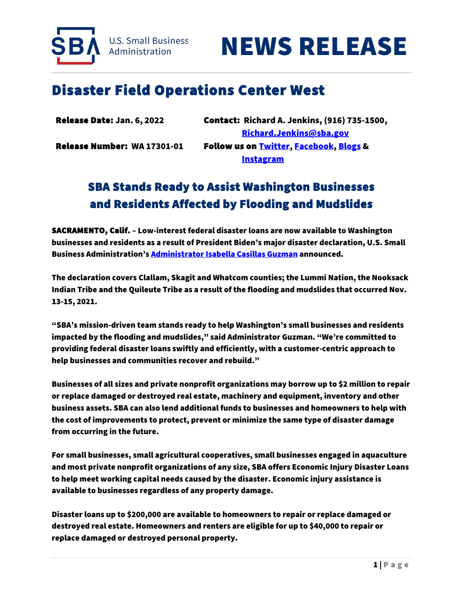



## Disaster Field Operations Center West

| Release Date: Jan. 6, 2022  | <b>Contact: Richard A. Jenkins, (916) 735-1500,</b> |
|-----------------------------|-----------------------------------------------------|
|                             | <u>Richard.Jenkins@sba.gov</u>                      |
| Release Number: WA 17301-01 | Follow us on <b>Twitter, Facebook, Blogs &amp;</b>  |
|                             | <b>Instagram</b>                                    |

## SBA Stands Ready to Assist Washington Businesses and Residents Affected by Flooding and Mudslides

SACRAMENTO, Calif. – Low-interest federal disaster loans are now available to Washington businesses and residents as a result of President Biden's major disaster declaration, U.S. Small Business Administration's Administrator Isabella Casillas Guzman announced.

The declaration covers Clallam, Skagit and Whatcom counties; the Lummi Nation, the Nooksack Indian Tribe and the Quileute Tribe as a result of the flooding and mudslides that occurred Nov. 13-15, 2021.

"SBA's mission-driven team stands ready to help Washington's small businesses and residents impacted by the flooding and mudslides," said Administrator Guzman. "We're committed to providing federal disaster loans swiftly and efficiently, with a customer-centric approach to help businesses and communities recover and rebuild."

Businesses of all sizes and private nonprofit organizations may borrow up to \$2 million to repair or replace damaged or destroyed real estate, machinery and equipment, inventory and other business assets. SBA can also lend additional funds to businesses and homeowners to help with the cost of improvements to protect, prevent or minimize the same type of disaster damage from occurring in the future.

For small businesses, small agricultural cooperatives, small businesses engaged in aquaculture and most private nonprofit organizations of any size, SBA offers Economic Injury Disaster Loans to help meet working capital needs caused by the disaster. Economic injury assistance is available to businesses regardless of any property damage.

Disaster loans up to \$200,000 are available to homeowners to repair or replace damaged or destroyed real estate. Homeowners and renters are eligible for up to \$40,000 to repair or replace damaged or destroyed personal property.